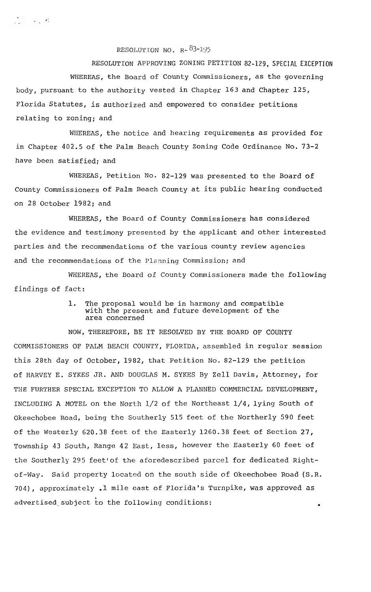RESOLUTION NO.  $R = \frac{83 - 195}{5}$ 

RESOLUTION APPROVING **ZONING PETITION** 82-129, **SPECIAL EXCEPTION** WHEREAS, the Board of County Commissioners, as the governing body, pursuant to the authority vested in Chapter 163 and Chapter 125, Florida Statutes, is authorized and empowered to consider petitions relating to zoning; and

WHEREAS, the notice and hearing requirements as provided for in Chapter 402.5 of the Palm Beach County Zoning Code Ordinance No. 73-2 have been satisfied; and

WHEREAS, Petition No. 82-129 was presented to the Board of County Commissioners of Palm Beach County at its public hearing conducted on 28 October 1982; and

WHEREAS, the Board of County Commissioners has considered the evidence and testimony presented by the applicant and other interested parties and the recommendations of the various county review agencies and the recommendations of the Planning Commission; and

WHEREAS, the Board of County Commissioners made the following findings of fact:

> 1. The proposal would be in harmony and compatible with the present and future development of the area concerned

NOW, THEREFORE, BE IT RESOLVED BY THE BOARD OF COUNTY COMMISSIONERS OF PALM BEACH COUNTY, FLORIDA, assembled in regular session this 28th day of October, 1982, that Petition No. 82-129 the petition of HARVEY E. SYKES JR. AND DOUGLAS **M.** SYKES By **Zell Davis,** \*Attorney, for THE FURTHER SPECIAL EXCEPTION TO ALLOW A PLANNED COMMERCIAL DEVELOPMENT, INCLUDING A MOTEL on the North l/2 of the Northeast l/4, lying South of Okeechobee Road, being the Southerly 515 feet of the Northerly 590 feet of the Westerly 620.38 feet of the Easterly 1260.38 feet of Section 27, Township 43 South, Range 42 East, less, however the Easterly 60 feet of the Southerly 295 feet'of the aforedescribed parcel for dedicated Rightof-Way. Said property located on the south side of Okeechobee Road (S.R. 704), approximately .1 mile east of Florida's Turnpike, was approved as advertised.subject to the following conditions: .

 $\mathcal{L}_{\mathcal{L}}^{\text{eff}}(\mathcal{L}_{\mathcal{L}}) = \mathcal{L}_{\mathcal{L}}^{\text{eff}}(\mathcal{L}_{\mathcal{L}}^{\text{eff}})$